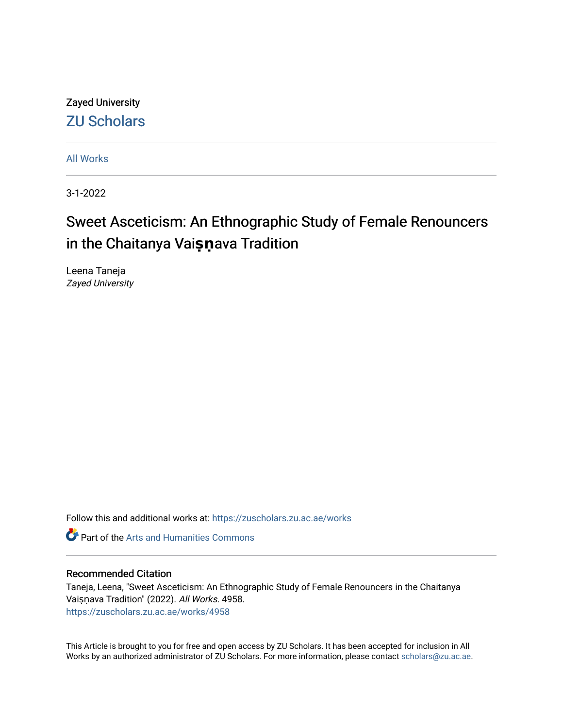Zayed University [ZU Scholars](https://zuscholars.zu.ac.ae/) 

[All Works](https://zuscholars.zu.ac.ae/works)

3-1-2022

# Sweet Asceticism: An Ethnographic Study of Female Renouncers in the Chaitanya Vaisnava Tradition

Leena Taneja Zayed University

Follow this and additional works at: [https://zuscholars.zu.ac.ae/works](https://zuscholars.zu.ac.ae/works?utm_source=zuscholars.zu.ac.ae%2Fworks%2F4958&utm_medium=PDF&utm_campaign=PDFCoverPages)

Part of the [Arts and Humanities Commons](http://network.bepress.com/hgg/discipline/438?utm_source=zuscholars.zu.ac.ae%2Fworks%2F4958&utm_medium=PDF&utm_campaign=PDFCoverPages) 

### Recommended Citation

Taneja, Leena, "Sweet Asceticism: An Ethnographic Study of Female Renouncers in the Chaitanya Vaiṣṇava Tradition" (2022). All Works. 4958. [https://zuscholars.zu.ac.ae/works/4958](https://zuscholars.zu.ac.ae/works/4958?utm_source=zuscholars.zu.ac.ae%2Fworks%2F4958&utm_medium=PDF&utm_campaign=PDFCoverPages)

This Article is brought to you for free and open access by ZU Scholars. It has been accepted for inclusion in All Works by an authorized administrator of ZU Scholars. For more information, please contact [scholars@zu.ac.ae](mailto:scholars@zu.ac.ae).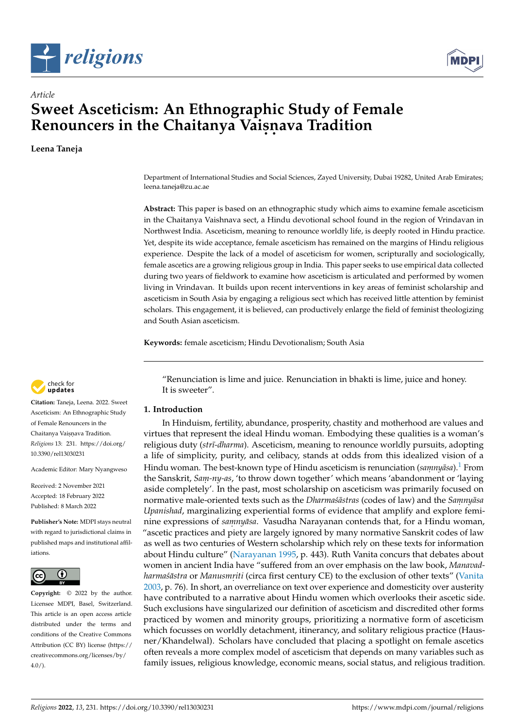



## *Article* **Sweet Asceticism: An Ethnographic Study of Female Renouncers in the Chaitanya Vaișnava Tradition**

**Leena Taneja**

Department of International Studies and Social Sciences, Zayed University, Dubai 19282, United Arab Emirates; leena.taneja@zu.ac.ae

**Abstract:** This paper is based on an ethnographic study which aims to examine female asceticism in the Chaitanya Vaishnava sect, a Hindu devotional school found in the region of Vrindavan in Northwest India. Asceticism, meaning to renounce worldly life, is deeply rooted in Hindu practice. Yet, despite its wide acceptance, female asceticism has remained on the margins of Hindu religious experience. Despite the lack of a model of asceticism for women, scripturally and sociologically, female ascetics are a growing religious group in India. This paper seeks to use empirical data collected during two years of fieldwork to examine how asceticism is articulated and performed by women living in Vrindavan. It builds upon recent interventions in key areas of feminist scholarship and asceticism in South Asia by engaging a religious sect which has received little attention by feminist scholars. This engagement, it is believed, can productively enlarge the field of feminist theologizing and South Asian asceticism.

**Keywords:** female asceticism; Hindu Devotionalism; South Asia

check for **-**

**Citation:** Taneja, Leena. 2022. Sweet Asceticism: An Ethnographic Study of Female Renouncers in the Chaitanya Vaisnava Tradition. *Religions* 13: 231. [https://doi.org/](https://doi.org/10.3390/rel13030231) [10.3390/rel13030231](https://doi.org/10.3390/rel13030231)

Academic Editor: Mary Nyangweso

Received: 2 November 2021 Accepted: 18 February 2022 Published: 8 March 2022

**Publisher's Note:** MDPI stays neutral with regard to jurisdictional claims in published maps and institutional affiliations.



**Copyright:** © 2022 by the author. Licensee MDPI, Basel, Switzerland. This article is an open access article distributed under the terms and conditions of the Creative Commons Attribution (CC BY) license [\(https://](https://creativecommons.org/licenses/by/4.0/) [creativecommons.org/licenses/by/](https://creativecommons.org/licenses/by/4.0/)  $4.0/$ ).

<span id="page-1-0"></span>"Renunciation is lime and juice. Renunciation in bhakti is lime, juice and honey. It is sweeter".

#### **1. Introduction**

In Hinduism, fertility, abundance, prosperity, chastity and motherhood are values and virtues that represent the ideal Hindu woman. Embodying these qualities is a woman's religious duty (*str¯ı-dharma*). Asceticism, meaning to renounce worldly pursuits, adopting a life of simplicity, purity, and celibacy, stands at odds from this idealized vision of a Hindu woman. The best-known type of Hindu asceticism is renunciation (*samnyāsa*).<sup>[1](#page-14-0)</sup> From the Sanskrit, *Sam. -ny-as*, 'to throw down together' which means 'abandonment or 'laying aside completely'. In the past, most scholarship on asceticism was primarily focused on normative male-oriented texts such as the *Dharma'sastras* (codes of law) and the *Samnyasa Upanishad*, marginalizing experiential forms of evidence that amplify and explore feminine expressions of *samnyāsa*. Vasudha Narayanan contends that, for a Hindu woman, "ascetic practices and piety are largely ignored by many normative Sanskrit codes of law as well as two centuries of Western scholarship which rely on these texts for information about Hindu culture" [\(Narayanan](#page-14-1) [1995,](#page-14-1) p. 443). Ruth Vanita concurs that debates about women in ancient India have "suffered from an over emphasis on the law book, *Manavadharmaśāstra* or *Manusmriti* (circa first century CE) to the exclusion of other texts'' [\(Vanita](#page-15-0) [2003,](#page-15-0) p. 76). In short, an overreliance on text over experience and domesticity over austerity have contributed to a narrative about Hindu women which overlooks their ascetic side. Such exclusions have singularized our definition of asceticism and discredited other forms practiced by women and minority groups, prioritizing a normative form of asceticism which focusses on worldly detachment, itinerancy, and solitary religious practice (Hausner/Khandelwal). Scholars have concluded that placing a spotlight on female ascetics often reveals a more complex model of asceticism that depends on many variables such as family issues, religious knowledge, economic means, social status, and religious tradition.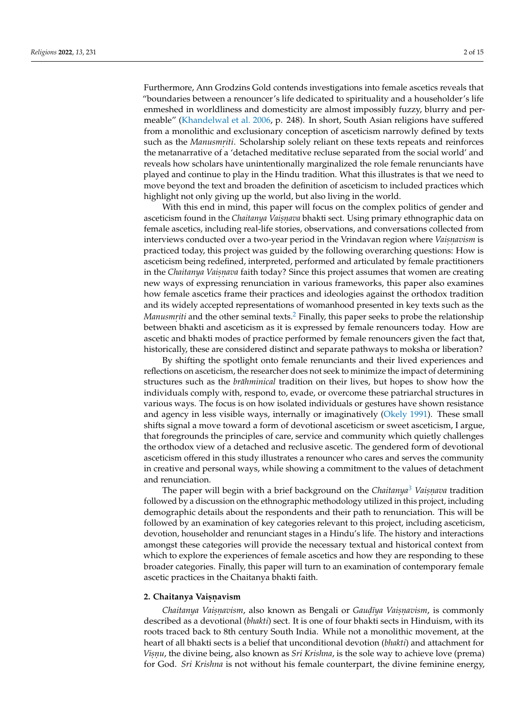Furthermore, Ann Grodzins Gold contends investigations into female ascetics reveals that "boundaries between a renouncer's life dedicated to spirituality and a householder's life enmeshed in worldliness and domesticity are almost impossibly fuzzy, blurry and permeable" [\(Khandelwal et al.](#page-14-2) [2006,](#page-14-2) p. 248). In short, South Asian religions have suffered from a monolithic and exclusionary conception of asceticism narrowly defined by texts such as the *Manusmriti*. Scholarship solely reliant on these texts repeats and reinforces the metanarrative of a 'detached meditative recluse separated from the social world' and reveals how scholars have unintentionally marginalized the role female renunciants have played and continue to play in the Hindu tradition. What this illustrates is that we need to move beyond the text and broaden the definition of asceticism to included practices which highlight not only giving up the world, but also living in the world.

With this end in mind, this paper will focus on the complex politics of gender and asceticism found in the *Chaitanya Vaiṣṇava* bhakti sect. Using primary ethnographic data on female ascetics, including real-life stories, observations, and conversations collected from interviews conducted over a two-year period in the Vrindavan region where *Vaisnavism* is practiced today, this project was guided by the following overarching questions: How is asceticism being redefined, interpreted, performed and articulated by female practitioners in the *Chaitanya Vaiṣṇava* faith today? Since this project assumes that women are creating new ways of expressing renunciation in various frameworks, this paper also examines how female ascetics frame their practices and ideologies against the orthodox tradition and its widely accepted representations of womanhood presented in key texts such as the *Manusmriti* and the other seminal texts.<sup>[2](#page-14-3)</sup> Finally, this paper seeks to probe the relationship between bhakti and asceticism as it is expressed by female renouncers today. How are ascetic and bhakti modes of practice performed by female renouncers given the fact that, historically, these are considered distinct and separate pathways to moksha or liberation?

<span id="page-2-0"></span>By shifting the spotlight onto female renunciants and their lived experiences and reflections on asceticism, the researcher does not seek to minimize the impact of determining structures such as the *brāhminical* tradition on their lives, but hopes to show how the individuals comply with, respond to, evade, or overcome these patriarchal structures in various ways. The focus is on how isolated individuals or gestures have shown resistance and agency in less visible ways, internally or imaginatively [\(Okely](#page-14-4) [1991\)](#page-14-4). These small shifts signal a move toward a form of devotional asceticism or sweet asceticism, I argue, that foregrounds the principles of care, service and community which quietly challenges the orthodox view of a detached and reclusive ascetic. The gendered form of devotional asceticism offered in this study illustrates a renouncer who cares and serves the community in creative and personal ways, while showing a commitment to the values of detachment and renunciation.

<span id="page-2-1"></span>The paper will begin with a brief background on the *Chaitanya<sup>[3](#page-14-5)</sup> Vaisnava* tradition followed by a discussion on the ethnographic methodology utilized in this project, including demographic details about the respondents and their path to renunciation. This will be followed by an examination of key categories relevant to this project, including asceticism, devotion, householder and renunciant stages in a Hindu's life. The history and interactions amongst these categories will provide the necessary textual and historical context from which to explore the experiences of female ascetics and how they are responding to these broader categories. Finally, this paper will turn to an examination of contemporary female ascetic practices in the Chaitanya bhakti faith.

## 2. Chaitanya Vaiṣṇavism

*Chaitanya Vaisnavism,* also known as Bengali or *Gaudīya Vaisnavism,* is commonly described as a devotional (*bhakti*) sect. It is one of four bhakti sects in Hinduism, with its roots traced back to 8th century South India. While not a monolithic movement, at the heart of all bhakti sects is a belief that unconditional devotion (*bhakti*) and attachment for *Visnu*, the divine being, also known as *Sri Krishna*, is the sole way to achieve love (prema) for God. *Sri Krishna* is not without his female counterpart, the divine feminine energy,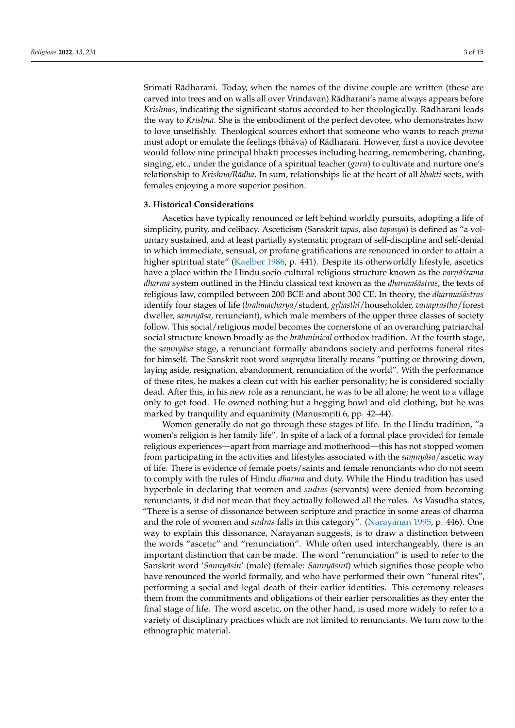Srimati Radharani. Today, when the names of the divine couple are written (these are ¯ carved into trees and on walls all over Vrindavan) Radharani's name always appears before ¯ *Krishnas*, indicating the significant status accorded to her theologically. Radharani leads ¯ the way to *Krishna*. She is the embodiment of the perfect devotee, who demonstrates how to love unselfishly. Theological sources exhort that someone who wants to reach *prema* must adopt or emulate the feelings (bhava) of Radharani. However, first a novice devotee would follow nine principal bhakti processes including hearing, remembering, chanting, singing, etc., under the guidance of a spiritual teacher (*guru*) to cultivate and nurture one's relationship to *Krishna/Radha ¯* . In sum, relationships lie at the heart of all *bhakti* sects, with females enjoying a more superior position.

#### **3. Historical Considerations**

Ascetics have typically renounced or left behind worldly pursuits, adopting a life of simplicity, purity, and celibacy. Asceticism (Sanskrit *tapas*, also *tapasya*) is defined as "a voluntary sustained, and at least partially systematic program of self-discipline and self-denial in which immediate, sensual, or profane gratifications are renounced in order to attain a higher spiritual state" [\(Kaelber](#page-14-6) [1986,](#page-14-6) p. 441). Despite its otherworldly lifestyle, ascetics have a place within the Hindu socio-cultural-religious structure known as the *varṇāśrama dharma* system outlined in the Hindu classical text known as the *dharma* sastras, the texts of religious law, compiled between 200 BCE and about 300 CE. In theory, the *dharma*sastras identify four stages of life (*brahmacharya*/student, *grhasthī*/householder, *vanaprastha*/forest dweller, samnyāsa, renunciant), which male members of the upper three classes of society follow. This social/religious model becomes the cornerstone of an overarching patriarchal social structure known broadly as the *brāhminical* orthodox tradition. At the fourth stage, the *samnyāsa* stage, a renunciant formally abandons society and performs funeral rites for himself. The Sanskrit root word *samnyāsa* literally means "putting or throwing down, laying aside, resignation, abandonment, renunciation of the world". With the performance of these rites, he makes a clean cut with his earlier personality; he is considered socially dead. After this, in his new role as a renunciant, he was to be all alone; he went to a village only to get food. He owned nothing but a begging bowl and old clothing, but he was marked by tranquility and equanimity (Manusmriti 6, pp. 42–44).

Women generally do not go through these stages of life. In the Hindu tradition, "a women's religion is her family life". In spite of a lack of a formal place provided for female religious experiences—apart from marriage and motherhood—this has not stopped women from participating in the activities and lifestyles associated with the *samnyāsa* / ascetic way of life. There is evidence of female poets/saints and female renunciants who do not seem to comply with the rules of Hindu *dharma* and duty. While the Hindu tradition has used hyperbole in declaring that women and *sudras* (servants) were denied from becoming renunciants, it did not mean that they actually followed all the rules. As Vasudha states, "There is a sense of dissonance between scripture and practice in some areas of dharma and the role of women and *sudras* falls in this category". [\(Narayanan](#page-14-1) [1995,](#page-14-1) p. 446). One way to explain this dissonance, Narayanan suggests, is to draw a distinction between the words "ascetic" and "renunciation". While often used interchangeably, there is an important distinction that can be made. The word "renunciation" is used to refer to the Sanskrit word 'Sannyāsin' (male) (female: Sannyāsinī) which signifies those people who have renounced the world formally, and who have performed their own "funeral rites", performing a social and legal death of their earlier identities. This ceremony releases them from the commitments and obligations of their earlier personalities as they enter the final stage of life. The word ascetic, on the other hand, is used more widely to refer to a variety of disciplinary practices which are not limited to renunciants. We turn now to the ethnographic material.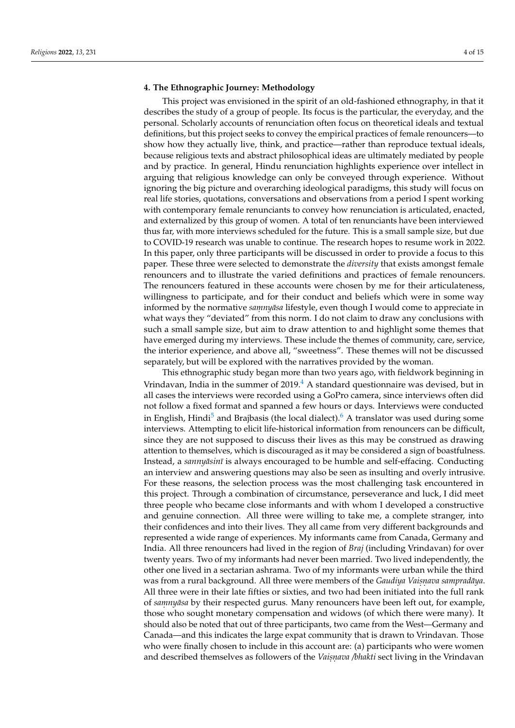#### **4. The Ethnographic Journey: Methodology**

This project was envisioned in the spirit of an old-fashioned ethnography, in that it describes the study of a group of people. Its focus is the particular, the everyday, and the personal. Scholarly accounts of renunciation often focus on theoretical ideals and textual definitions, but this project seeks to convey the empirical practices of female renouncers—to show how they actually live, think, and practice—rather than reproduce textual ideals, because religious texts and abstract philosophical ideas are ultimately mediated by people and by practice. In general, Hindu renunciation highlights experience over intellect in arguing that religious knowledge can only be conveyed through experience. Without ignoring the big picture and overarching ideological paradigms, this study will focus on real life stories, quotations, conversations and observations from a period I spent working with contemporary female renunciants to convey how renunciation is articulated, enacted, and externalized by this group of women. A total of ten renunciants have been interviewed thus far, with more interviews scheduled for the future. This is a small sample size, but due to COVID-19 research was unable to continue. The research hopes to resume work in 2022. In this paper, only three participants will be discussed in order to provide a focus to this paper. These three were selected to demonstrate the *diversity* that exists amongst female renouncers and to illustrate the varied definitions and practices of female renouncers. The renouncers featured in these accounts were chosen by me for their articulateness, willingness to participate, and for their conduct and beliefs which were in some way informed by the normative *samnyāsa* lifestyle, even though I would come to appreciate in what ways they "deviated" from this norm. I do not claim to draw any conclusions with such a small sample size, but aim to draw attention to and highlight some themes that have emerged during my interviews. These include the themes of community, care, service, the interior experience, and above all, "sweetness". These themes will not be discussed separately, but will be explored with the narratives provided by the woman.

<span id="page-4-2"></span><span id="page-4-1"></span><span id="page-4-0"></span>This ethnographic study began more than two years ago, with fieldwork beginning in Vrindavan, India in the summer of  $2019<sup>4</sup>$  $2019<sup>4</sup>$  $2019<sup>4</sup>$  A standard questionnaire was devised, but in all cases the interviews were recorded using a GoPro camera, since interviews often did not follow a fixed format and spanned a few hours or days. Interviews were conducted in English, Hindi<sup>[5](#page-14-8)</sup> and Brajbasis (the local dialect).<sup>[6](#page-14-9)</sup> A translator was used during some interviews. Attempting to elicit life-historical information from renouncers can be difficult, since they are not supposed to discuss their lives as this may be construed as drawing attention to themselves, which is discouraged as it may be considered a sign of boastfulness. Instead, a *sannyāsinī* is always encouraged to be humble and self-effacing. Conducting an interview and answering questions may also be seen as insulting and overly intrusive. For these reasons, the selection process was the most challenging task encountered in this project. Through a combination of circumstance, perseverance and luck, I did meet three people who became close informants and with whom I developed a constructive and genuine connection. All three were willing to take me, a complete stranger, into their confidences and into their lives. They all came from very different backgrounds and represented a wide range of experiences. My informants came from Canada, Germany and India. All three renouncers had lived in the region of *Braj* (including Vrindavan) for over twenty years. Two of my informants had never been married. Two lived independently, the other one lived in a sectarian ashrama. Two of my informants were urban while the third was from a rural background. All three were members of the *Gaudiya Vaiṣṇava sampradāya*. All three were in their late fifties or sixties, and two had been initiated into the full rank of *samnyāsa* by their respected gurus. Many renouncers have been left out, for example, those who sought monetary compensation and widows (of which there were many). It should also be noted that out of three participants, two came from the West—Germany and Canada—and this indicates the large expat community that is drawn to Vrindavan. Those who were finally chosen to include in this account are: (a) participants who were women and described themselves as followers of the *Vaiṣṇava /bhakti* sect living in the Vrindavan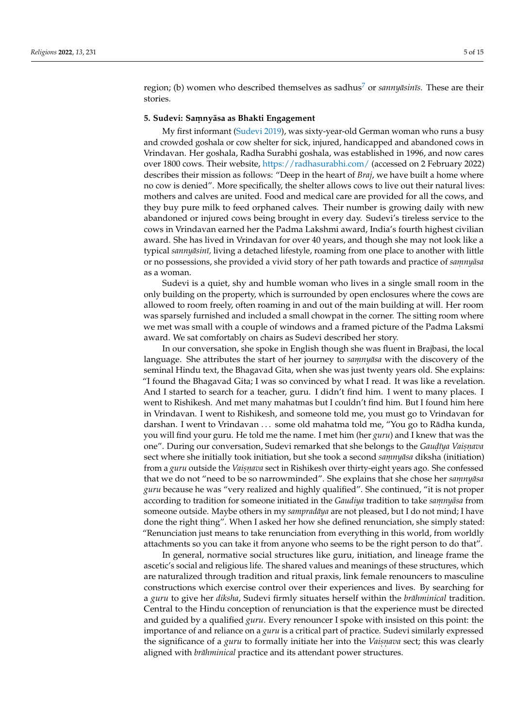<span id="page-5-0"></span>region; (b) women who described themselves as sadhus<sup>[7](#page-14-10)</sup> or *sannyāsinīs*. These are their stories.

#### **5. Sudevi: Sam. nyasa as Bhakti Engagement ¯**

My first informant [\(Sudevi](#page-15-1) [2019\)](#page-15-1), was sixty-year-old German woman who runs a busy and crowded goshala or cow shelter for sick, injured, handicapped and abandoned cows in Vrindavan. Her goshala, Radha Surabhi goshala, was established in 1996, and now cares over 1800 cows. Their website, <https://radhasurabhi.com/> (accessed on 2 February 2022) describes their mission as follows: "Deep in the heart of *Braj*, we have built a home where no cow is denied". More specifically, the shelter allows cows to live out their natural lives: mothers and calves are united. Food and medical care are provided for all the cows, and they buy pure milk to feed orphaned calves. Their number is growing daily with new abandoned or injured cows being brought in every day. Sudevi's tireless service to the cows in Vrindavan earned her the Padma Lakshmi award, India's fourth highest civilian award. She has lived in Vrindavan for over 40 years, and though she may not look like a typical *sannyāsinī*, living a detached lifestyle, roaming from one place to another with little or no possessions, she provided a vivid story of her path towards and practice of *samnyasa* as a woman.

Sudevi is a quiet, shy and humble woman who lives in a single small room in the only building on the property, which is surrounded by open enclosures where the cows are allowed to room freely, often roaming in and out of the main building at will. Her room was sparsely furnished and included a small chowpat in the corner. The sitting room where we met was small with a couple of windows and a framed picture of the Padma Laksmi award. We sat comfortably on chairs as Sudevi described her story.

In our conversation, she spoke in English though she was fluent in Brajbasi, the local language. She attributes the start of her journey to *samnyasa* with the discovery of the seminal Hindu text, the Bhagavad Gita, when she was just twenty years old. She explains: "I found the Bhagavad Gita; I was so convinced by what I read. It was like a revelation. And I started to search for a teacher, guru. I didn't find him. I went to many places. I went to Rishikesh. And met many mahatmas but I couldn't find him. But I found him here in Vrindavan. I went to Rishikesh, and someone told me, you must go to Vrindavan for darshan. I went to Vrindavan . . . some old mahatma told me, "You go to Radha kunda, ¯ you will find your guru. He told me the name. I met him (her *guru*) and I knew that was the one". During our conversation, Sudevi remarked that she belongs to the *Gauḍīya Vaiṣṇava* sect where she initially took initiation, but she took a second *samnyāsa* diksha (initiation) from a *guru* outside the *Vaiṣṇava* sect in Rishikesh over thirty-eight years ago. She confessed that we do not "need to be so narrowminded". She explains that she chose her *samnyasa guru* because he was "very realized and highly qualified". She continued, "it is not proper according to tradition for someone initiated in the *Gaudiya* tradition to take *samnyasa* from someone outside. Maybe others in my *sampradāya* are not pleased, but I do not mind; I have done the right thing". When I asked her how she defined renunciation, she simply stated: "Renunciation just means to take renunciation from everything in this world, from worldly attachments so you can take it from anyone who seems to be the right person to do that".

In general, normative social structures like guru, initiation, and lineage frame the ascetic's social and religious life. The shared values and meanings of these structures, which are naturalized through tradition and ritual praxis, link female renouncers to masculine constructions which exercise control over their experiences and lives. By searching for a *guru* to give her *diksha*, Sudevi firmly situates herself within the *brāhminical* tradition. Central to the Hindu conception of renunciation is that the experience must be directed and guided by a qualified *guru*. Every renouncer I spoke with insisted on this point: the importance of and reliance on a *guru* is a critical part of practice. Sudevi similarly expressed the significance of a *guru* to formally initiate her into the *Vaisnava* sect; this was clearly aligned with *brāhminical* practice and its attendant power structures.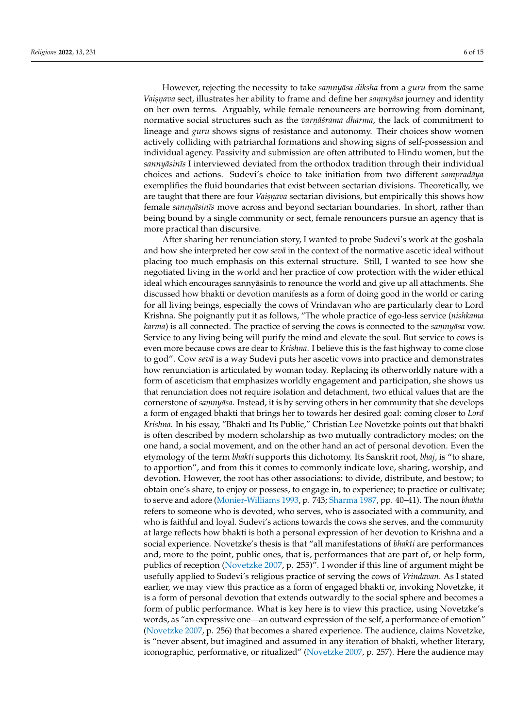However, rejecting the necessity to take *samnyāsa diksha* from a *guru* from the same *Vaisnava s*ect, illustrates her ability to frame and define her *samnyāsa* journey and identity on her own terms. Arguably, while female renouncers are borrowing from dominant, normative social structures such as the *varṇāśrama dharma*, the lack of commitment to lineage and *guru* shows signs of resistance and autonomy. Their choices show women actively colliding with patriarchal formations and showing signs of self-possession and individual agency. Passivity and submission are often attributed to Hindu women, but the *sannyāsinīs* I interviewed deviated from the orthodox tradition through their individual choices and actions. Sudevi's choice to take initiation from two different *sampradaya* exemplifies the fluid boundaries that exist between sectarian divisions. Theoretically, we are taught that there are four *Vaiṣṇava* sectarian divisions, but empirically this shows how *female sannyāsinīs* move across and beyond sectarian boundaries. In short, rather than being bound by a single community or sect, female renouncers pursue an agency that is more practical than discursive.

After sharing her renunciation story, I wanted to probe Sudevi's work at the goshala and how she interpreted her cow *seva¯* in the context of the normative ascetic ideal without placing too much emphasis on this external structure. Still, I wanted to see how she negotiated living in the world and her practice of cow protection with the wider ethical ideal which encourages sannyāsinīs to renounce the world and give up all attachments. She discussed how bhakti or devotion manifests as a form of doing good in the world or caring for all living beings, especially the cows of Vrindavan who are particularly dear to Lord Krishna. She poignantly put it as follows, "The whole practice of ego-less service (*nishkama karma*) is all connected. The practice of serving the cows is connected to the *samnyāsa* vow. Service to any living being will purify the mind and elevate the soul. But service to cows is even more because cows are dear to *Krishna*. I believe this is the fast highway to come close to god". Cow *seva¯* is a way Sudevi puts her ascetic vows into practice and demonstrates how renunciation is articulated by woman today. Replacing its otherworldly nature with a form of asceticism that emphasizes worldly engagement and participation, she shows us that renunciation does not require isolation and detachment, two ethical values that are the cornerstone of *samnyāsa*. Instead, it is by serving others in her community that she develops a form of engaged bhakti that brings her to towards her desired goal: coming closer to *Lord Krishna*. In his essay, "Bhakti and Its Public," Christian Lee Novetzke points out that bhakti is often described by modern scholarship as two mutually contradictory modes; on the one hand, a social movement, and on the other hand an act of personal devotion. Even the etymology of the term *bhakti* supports this dichotomy. Its Sanskrit root, *bhaj*, is "to share, to apportion", and from this it comes to commonly indicate love, sharing, worship, and devotion. However, the root has other associations: to divide, distribute, and bestow; to obtain one's share, to enjoy or possess, to engage in, to experience; to practice or cultivate; to serve and adore [\(Monier-Williams](#page-14-11) [1993,](#page-14-11) p. 743; [Sharma](#page-15-2) [1987,](#page-15-2) pp. 40–41). The noun *bhakta* refers to someone who is devoted, who serves, who is associated with a community, and who is faithful and loyal. Sudevi's actions towards the cows she serves, and the community at large reflects how bhakti is both a personal expression of her devotion to Krishna and a social experience. Novetzke's thesis is that "all manifestations of *bhakti* are performances and, more to the point, public ones, that is, performances that are part of, or help form, publics of reception [\(Novetzke](#page-14-12) [2007,](#page-14-12) p. 255)". I wonder if this line of argument might be usefully applied to Sudevi's religious practice of serving the cows of *Vrindavan*. As I stated earlier, we may view this practice as a form of engaged bhakti or, invoking Novetzke, it is a form of personal devotion that extends outwardly to the social sphere and becomes a form of public performance. What is key here is to view this practice, using Novetzke's words, as "an expressive one—an outward expression of the self, a performance of emotion" [\(Novetzke](#page-14-12) [2007,](#page-14-12) p. 256) that becomes a shared experience. The audience, claims Novetzke, is "never absent, but imagined and assumed in any iteration of bhakti, whether literary, iconographic, performative, or ritualized" [\(Novetzke](#page-14-12) [2007,](#page-14-12) p. 257). Here the audience may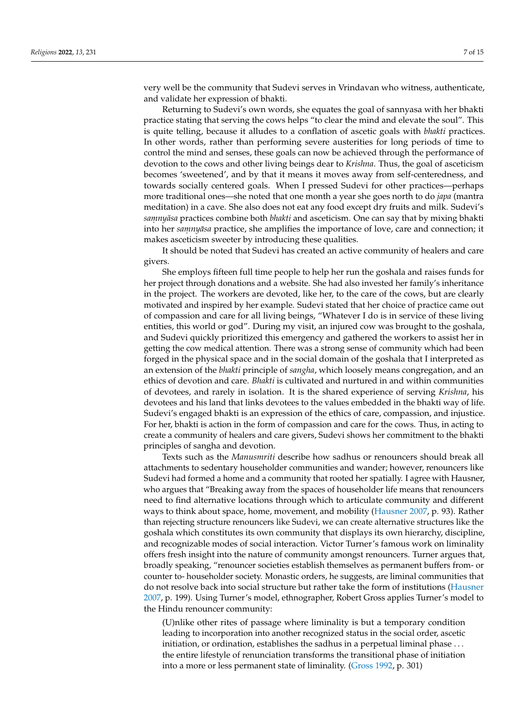very well be the community that Sudevi serves in Vrindavan who witness, authenticate, and validate her expression of bhakti.

Returning to Sudevi's own words, she equates the goal of sannyasa with her bhakti practice stating that serving the cows helps "to clear the mind and elevate the soul". This is quite telling, because it alludes to a conflation of ascetic goals with *bhakti* practices. In other words, rather than performing severe austerities for long periods of time to control the mind and senses, these goals can now be achieved through the performance of devotion to the cows and other living beings dear to *Krishna*. Thus, the goal of asceticism becomes 'sweetened', and by that it means it moves away from self-centeredness, and towards socially centered goals. When I pressed Sudevi for other practices—perhaps more traditional ones—she noted that one month a year she goes north to do *japa* (mantra meditation) in a cave. She also does not eat any food except dry fruits and milk. Sudevi's *samnyāsa* practices combine both *bhakti* and asceticism. One can say that by mixing bhakti into her samnyāsa practice, she amplifies the importance of love, care and connection; it makes asceticism sweeter by introducing these qualities.

It should be noted that Sudevi has created an active community of healers and care givers.

She employs fifteen full time people to help her run the goshala and raises funds for her project through donations and a website. She had also invested her family's inheritance in the project. The workers are devoted, like her, to the care of the cows, but are clearly motivated and inspired by her example. Sudevi stated that her choice of practice came out of compassion and care for all living beings, "Whatever I do is in service of these living entities, this world or god". During my visit, an injured cow was brought to the goshala, and Sudevi quickly prioritized this emergency and gathered the workers to assist her in getting the cow medical attention. There was a strong sense of community which had been forged in the physical space and in the social domain of the goshala that I interpreted as an extension of the *bhakti* principle of *sangha*, which loosely means congregation, and an ethics of devotion and care. *Bhakti* is cultivated and nurtured in and within communities of devotees, and rarely in isolation. It is the shared experience of serving *Krishna*, his devotees and his land that links devotees to the values embedded in the bhakti way of life. Sudevi's engaged bhakti is an expression of the ethics of care, compassion, and injustice. For her, bhakti is action in the form of compassion and care for the cows. Thus, in acting to create a community of healers and care givers, Sudevi shows her commitment to the bhakti principles of sangha and devotion.

Texts such as the *Manusmriti* describe how sadhus or renouncers should break all attachments to sedentary householder communities and wander; however, renouncers like Sudevi had formed a home and a community that rooted her spatially. I agree with Hausner, who argues that "Breaking away from the spaces of householder life means that renouncers need to find alternative locations through which to articulate community and different ways to think about space, home, movement, and mobility [\(Hausner](#page-14-13) [2007,](#page-14-13) p. 93). Rather than rejecting structure renouncers like Sudevi, we can create alternative structures like the goshala which constitutes its own community that displays its own hierarchy, discipline, and recognizable modes of social interaction. Victor Turner's famous work on liminality offers fresh insight into the nature of community amongst renouncers. Turner argues that, broadly speaking, "renouncer societies establish themselves as permanent buffers from- or counter to- householder society. Monastic orders, he suggests, are liminal communities that do not resolve back into social structure but rather take the form of institutions [\(Hausner](#page-14-13) [2007,](#page-14-13) p. 199). Using Turner's model, ethnographer, Robert Gross applies Turner's model to the Hindu renouncer community:

(U)nlike other rites of passage where liminality is but a temporary condition leading to incorporation into another recognized status in the social order, ascetic initiation, or ordination, establishes the sadhus in a perpetual liminal phase . . . the entire lifestyle of renunciation transforms the transitional phase of initiation into a more or less permanent state of liminality. [\(Gross](#page-14-14) [1992,](#page-14-14) p. 301)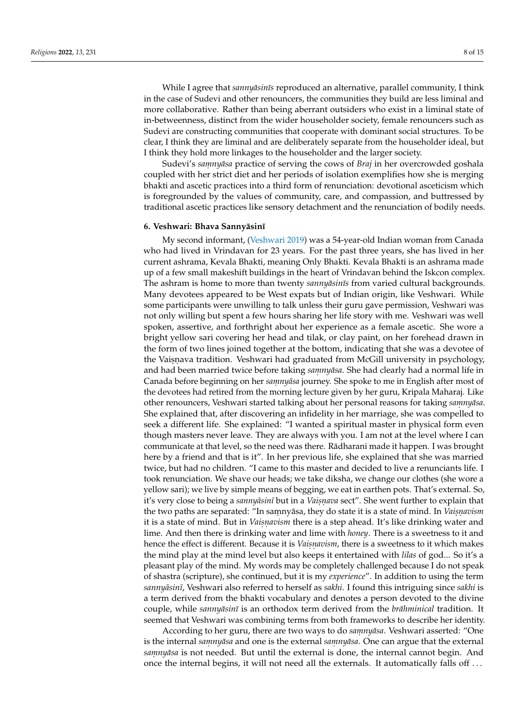While I agree that *sannyāsinīs* reproduced an alternative, parallel community, I think in the case of Sudevi and other renouncers, the communities they build are less liminal and more collaborative. Rather than being aberrant outsiders who exist in a liminal state of in-betweenness, distinct from the wider householder society, female renouncers such as Sudevi are constructing communities that cooperate with dominant social structures. To be clear, I think they are liminal and are deliberately separate from the householder ideal, but I think they hold more linkages to the householder and the larger society.

Sudevi's *samnyāsa* practice of serving the cows of *Braj* in her overcrowded goshala coupled with her strict diet and her periods of isolation exemplifies how she is merging bhakti and ascetic practices into a third form of renunciation: devotional asceticism which is foregrounded by the values of community, care, and compassion, and buttressed by traditional ascetic practices like sensory detachment and the renunciation of bodily needs.

#### **6. Veshwari: Bhava Sannyāsinī**

My second informant, [\(Veshwari](#page-15-3) [2019\)](#page-15-3) was a 54-year-old Indian woman from Canada who had lived in Vrindavan for 23 years. For the past three years, she has lived in her current ashrama, Kevala Bhakti, meaning Only Bhakti. Kevala Bhakti is an ashrama made up of a few small makeshift buildings in the heart of Vrindavan behind the Iskcon complex. The ashram is home to more than twenty *sannyāsinīs* from varied cultural backgrounds. Many devotees appeared to be West expats but of Indian origin, like Veshwari. While some participants were unwilling to talk unless their guru gave permission, Veshwari was not only willing but spent a few hours sharing her life story with me. Veshwari was well spoken, assertive, and forthright about her experience as a female ascetic. She wore a bright yellow sari covering her head and tilak, or clay paint, on her forehead drawn in the form of two lines joined together at the bottom, indicating that she was a devotee of the Vaisnava tradition. Veshwari had graduated from McGill university in psychology, and had been married twice before taking *samnyāsa*. She had clearly had a normal life in Canada before beginning on her *samnyāsa* journey. She spoke to me in English after most of the devotees had retired from the morning lecture given by her guru, Kripala Maharaj. Like other renouncers, Veshwari started talking about her personal reasons for taking *samnyāsa*. She explained that, after discovering an infidelity in her marriage, she was compelled to seek a different life. She explained: "I wanted a spiritual master in physical form even though masters never leave. They are always with you. I am not at the level where I can communicate at that level, so the need was there. Rādharani made it happen. I was brought here by a friend and that is it". In her previous life, she explained that she was married twice, but had no children. "I came to this master and decided to live a renunciants life. I took renunciation. We shave our heads; we take diksha, we change our clothes (she wore a yellow sari); we live by simple means of begging, we eat in earthen pots. That's external. So, it's very close to being a *sannyāsinī* but in a *Vaisṇava s*ect''. She went further to explain that the two paths are separated: "In saṃnyāsa, they do state it is a state of mind. In *Vaiṣṇaʊism* it is a state of mind. But in *Vaiṣṇavism* there is a step ahead. It's like drinking water and lime. And then there is drinking water and lime with *honey*. There is a sweetness to it and hence the effect is different. Because it is *Vaisnavism*, there is a sweetness to it which makes the mind play at the mind level but also keeps it entertained with *lilas* of god... So it's a pleasant play of the mind. My words may be completely challenged because I do not speak of shastra (scripture), she continued, but it is my *experience*". In addition to using the term *sannyāsinī*, Veshwari also referred to herself as *sakhi*. I found this intriguing since *sakhi* is a term derived from the bhakti vocabulary and denotes a person devoted to the divine couple, while *sannyāsinī* is an orthodox term derived from the *brāhminical* tradition. It seemed that Veshwari was combining terms from both frameworks to describe her identity.

According to her guru, there are two ways to do *samnyāsa*. Veshwari asserted: "One *is the internal samnyāsa and one is the external <i>samnyāsa*. One can argue that the external samnyāsa is not needed. But until the external is done, the internal cannot begin. And once the internal begins, it will not need all the externals. It automatically falls off . . .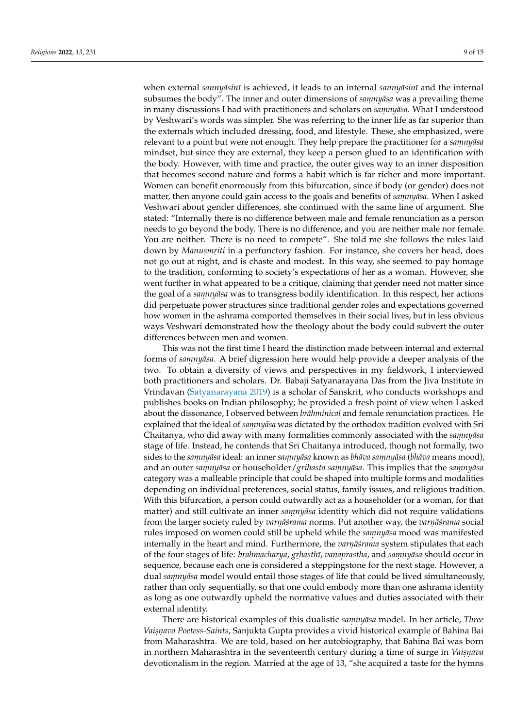*when external sannyāsinī* is achieved, it leads to an internal *sannyāsinī* and the internal subsumes the body". The inner and outer dimensions of *samnyāsa* was a prevailing theme in many discussions I had with practitioners and scholars on  $\frac{2}{3}$  *ammyasa*. What I understood by Veshwari's words was simpler. She was referring to the inner life as far superior than the externals which included dressing, food, and lifestyle. These, she emphasized, were relevant to a point but were not enough. They help prepare the practitioner for a *samnyasa* mindset, but since they are external, they keep a person glued to an identification with the body. However, with time and practice, the outer gives way to an inner disposition that becomes second nature and forms a habit which is far richer and more important. Women can benefit enormously from this bifurcation, since if body (or gender) does not matter, then anyone could gain access to the goals and benefits of *samnyasa*. When I asked Veshwari about gender differences, she continued with the same line of argument. She stated: "Internally there is no difference between male and female renunciation as a person needs to go beyond the body. There is no difference, and you are neither male nor female. You are neither. There is no need to compete". She told me she follows the rules laid down by *Manusmriti* in a perfunctory fashion. For instance, she covers her head, does not go out at night, and is chaste and modest. In this way, she seemed to pay homage to the tradition, conforming to society's expectations of her as a woman. However, she went further in what appeared to be a critique, claiming that gender need not matter since the goal of a *samnyāsa* was to transgress bodily identification. In this respect, her actions did perpetuate power structures since traditional gender roles and expectations governed how women in the ashrama comported themselves in their social lives, but in less obvious ways Veshwari demonstrated how the theology about the body could subvert the outer differences between men and women.

This was not the first time I heard the distinction made between internal and external forms of *samnyāsa*. A brief digression here would help provide a deeper analysis of the two. To obtain a diversity of views and perspectives in my fieldwork, I interviewed both practitioners and scholars. Dr. Babaji Satyanarayana Das from the Jiva Institute in Vrindavan [\(Satyanarayana](#page-15-4) [2019\)](#page-15-4) is a scholar of Sanskrit, who conducts workshops and publishes books on Indian philosophy; he provided a fresh point of view when I asked about the dissonance, I observed between *brāhminical* and female renunciation practices. He explained that the ideal of *samnyasa* was dictated by the orthodox tradition evolved with Sri Chaitanya, who did away with many formalities commonly associated with the *samnyasa* stage of life. Instead, he contends that Sri Chaitanya introduced, though not formally, two *sides to the samnyāsa ideal: an inner <i>samnyāsa known as bhāva samnyāsa (bhāva* means mood), and an outer *samnyāsa* or householder/*grihasta samnyāsa*. This implies that the *samnyāsa* category was a malleable principle that could be shaped into multiple forms and modalities depending on individual preferences, social status, family issues, and religious tradition. With this bifurcation, a person could outwardly act as a householder (or a woman, for that matter) and still cultivate an inner *samnyāsa* identity which did not require validations from the larger society ruled by *varnāśrama* norms. Put another way, the *varnāśrama* social rules imposed on women could still be upheld while the *samnyasa* mood was manifested internally in the heart and mind. Furthermore, the *varnāśrama* system stipulates that each of the four stages of life: *brahmacharya*, *grhasthū*, *vanaprastha*, and *samnyāsa* should occur in sequence, because each one is considered a steppingstone for the next stage. However, a dual *samnyasa* model would entail those stages of life that could be lived simultaneously, rather than only sequentially, so that one could embody more than one ashrama identity as long as one outwardly upheld the normative values and duties associated with their external identity.

There are historical examples of this dualistic *samnyasa* model. In her article, *Three Vaisnava Poetess-Saints,* Sanjukta Gupta provides a vivid historical example of Bahina Bai from Maharashtra. We are told, based on her autobiography, that Bahina Bai was born in northern Maharashtra in the seventeenth century during a time of surge in *Vaisnava* devotionalism in the region. Married at the age of 13, "she acquired a taste for the hymns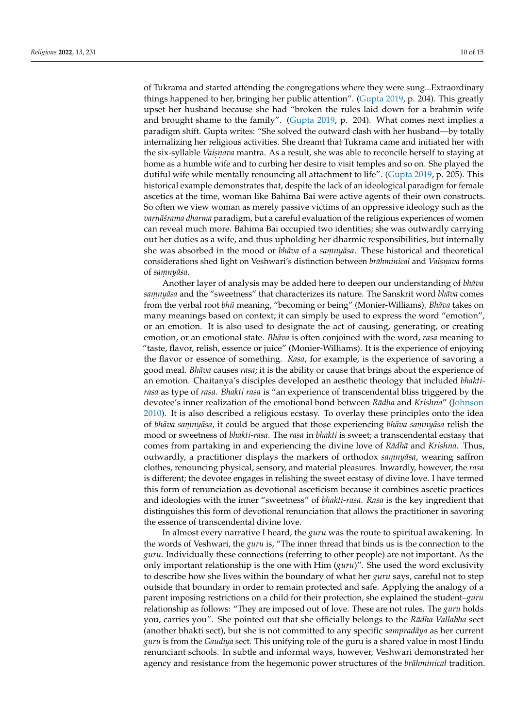of Tukrama and started attending the congregations where they were sung...Extraordinary things happened to her, bringing her public attention". [\(Gupta](#page-14-15) [2019,](#page-14-15) p. 204). This greatly upset her husband because she had "broken the rules laid down for a brahmin wife and brought shame to the family". [\(Gupta](#page-14-15) [2019,](#page-14-15) p. 204). What comes next implies a paradigm shift. Gupta writes: "She solved the outward clash with her husband—by totally internalizing her religious activities. She dreamt that Tukrama came and initiated her with the six-syllable *Vaiṣṇava* mantra. As a result, she was able to reconcile herself to staying at home as a humble wife and to curbing her desire to visit temples and so on. She played the dutiful wife while mentally renouncing all attachment to life". [\(Gupta](#page-14-15) [2019,](#page-14-15) p. 205). This historical example demonstrates that, despite the lack of an ideological paradigm for female ascetics at the time, woman like Bahima Bai were active agents of their own constructs. So often we view woman as merely passive victims of an oppressive ideology such as the *varnāśrama dharma* paradigm, but a careful evaluation of the religious experiences of women can reveal much more. Bahima Bai occupied two identities; she was outwardly carrying out her duties as a wife, and thus upholding her dharmic responsibilities, but internally she was absorbed in the mood or *bhava* of a *samnyasa*. These historical and theoretical considerations shed light on Veshwari's distinction between *brahminical ¯* and *Vais.n. ava* forms of *samnyāsa*.

Another layer of analysis may be added here to deepen our understanding of *bhava*  $sanny\bar{a}$  and the "sweetness" that characterizes its nature. The Sanskrit word *bhāva* comes from the verbal root *bhū* meaning, "becoming or being" (Monier-Williams). *Bhāva* takes on many meanings based on context; it can simply be used to express the word "emotion", or an emotion. It is also used to designate the act of causing, generating, or creating emotion, or an emotional state. *Bhāva* is often conjoined with the word, *rasa* meaning to "taste, flavor, relish, essence or juice" (Monier-Williams). It is the experience of enjoying the flavor or essence of something. *Rasa*, for example, is the experience of savoring a good meal. *Bhāva* causes *rasa*; it is the ability or cause that brings about the experience of an emotion. Chaitanya's disciples developed an aesthetic theology that included *bhaktirasa* as type of *rasa. Bhakti rasa* is "an experience of transcendental bliss triggered by the devotee's inner realization of the emotional bond between *Rādha* and *Krishna*" [\(Johnson](#page-14-16) [2010\)](#page-14-16). It is also described a religious ecstasy. To overlay these principles onto the idea of *bhava sa ¯ m. nyasa ¯* , it could be argued that those experiencing *bhava sa ¯ m. nyasa ¯* relish the mood or sweetness of *bhakti-rasa*. The *rasa* in *bhakti* is sweet; a transcendental ecstasy that comes from partaking in and experiencing the divine love of *Radha* and *Krishna*. Thus, outwardly, a practitioner displays the markers of orthodox *samnyāsa*, wearing saffron clothes, renouncing physical, sensory, and material pleasures. Inwardly, however, the *rasa* is different; the devotee engages in relishing the sweet ecstasy of divine love. I have termed this form of renunciation as devotional asceticism because it combines ascetic practices and ideologies with the inner "sweetness" of *bhakti-rasa*. *Rasa* is the key ingredient that distinguishes this form of devotional renunciation that allows the practitioner in savoring the essence of transcendental divine love.

In almost every narrative I heard, the *guru* was the route to spiritual awakening. In the words of Veshwari, the *guru* is, "The inner thread that binds us is the connection to the *guru*. Individually these connections (referring to other people) are not important. As the only important relationship is the one with Him (*guru*)". She used the word exclusivity to describe how she lives within the boundary of what her *guru* says, careful not to step outside that boundary in order to remain protected and safe. Applying the analogy of a parent imposing restrictions on a child for their protection, she explained the student–*guru* relationship as follows: "They are imposed out of love. These are not rules. The *guru* holds you, carries you". She pointed out that she officially belongs to the *Rādha Vallabha* sect (another bhakti sect), but she is not committed to any specific *sampradaya* as her current *guru* is from the *Gaudiya* sect. This unifying role of the guru is a shared value in most Hindu renunciant schools. In subtle and informal ways, however, Veshwari demonstrated her agency and resistance from the hegemonic power structures of the *brahminical* tradition.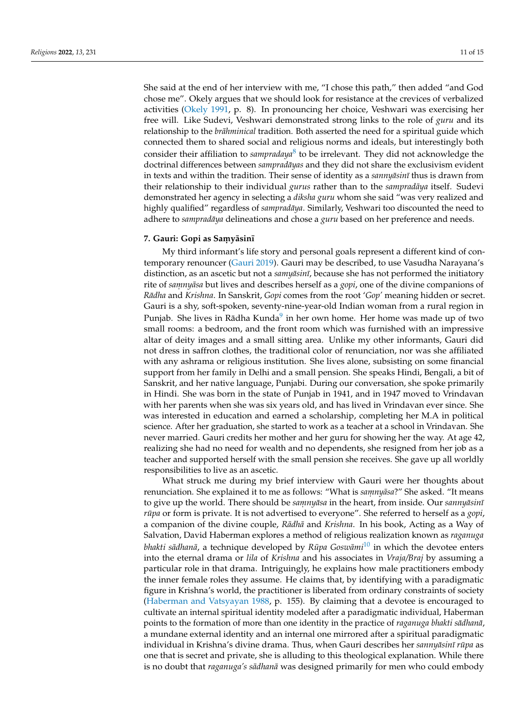<span id="page-11-0"></span>She said at the end of her interview with me, "I chose this path," then added "and God chose me". Okely argues that we should look for resistance at the crevices of verbalized activities [\(Okely](#page-14-4) [1991,](#page-14-4) p. 8). In pronouncing her choice, Veshwari was exercising her free will. Like Sudevi, Veshwari demonstrated strong links to the role of *guru* and its relationship to the *brāhminical* tradition. Both asserted the need for a spiritual guide which connected them to shared social and religious norms and ideals, but interestingly both consider their affiliation to *sampradaya*[8](#page-14-17) to be irrelevant. They did not acknowledge the doctrinal differences between *sampradāyas* and they did not share the exclusivism evident in texts and within the tradition. Their sense of identity as a *sannyasini* thus is drawn from their relationship to their individual *gurus* rather than to the *sampradaya* itself. Sudevi demonstrated her agency in selecting a *diksha guru* whom she said "was very realized and highly qualified" regardless of *sampradaya*. Similarly, Veshwari too discounted the need to adhere to *sampradāya* delineations and chose a *guru* based on her preference and needs.

#### *7.* **Gauri: Gopi as Samyāsinī**

<span id="page-11-1"></span>My third informant's life story and personal goals represent a different kind of contemporary renouncer [\(Gauri](#page-14-18) [2019\)](#page-14-18). Gauri may be described, to use Vasudha Narayana's distinction, as an ascetic but not a *samyāsinī*, because she has not performed the initiatory rite of *samnyasa* but lives and describes herself as a *gopi*, one of the divine companions of *Rādha* and *Krishna*. In Sanskrit, *Gopi* comes from the root '*Gop*' meaning hidden or secret. Gauri is a shy, soft-spoken, seventy-nine-year-old Indian woman from a rural region in Punjab. She lives in Rādha Kunda<sup>[9](#page-14-19)</sup> in her own home. Her home was made up of two small rooms: a bedroom, and the front room which was furnished with an impressive altar of deity images and a small sitting area. Unlike my other informants, Gauri did not dress in saffron clothes, the traditional color of renunciation, nor was she affiliated with any ashrama or religious institution. She lives alone, subsisting on some financial support from her family in Delhi and a small pension. She speaks Hindi, Bengali, a bit of Sanskrit, and her native language, Punjabi. During our conversation, she spoke primarily in Hindi. She was born in the state of Punjab in 1941, and in 1947 moved to Vrindavan with her parents when she was six years old, and has lived in Vrindavan ever since. She was interested in education and earned a scholarship, completing her M.A in political science. After her graduation, she started to work as a teacher at a school in Vrindavan. She never married. Gauri credits her mother and her guru for showing her the way. At age 42, realizing she had no need for wealth and no dependents, she resigned from her job as a teacher and supported herself with the small pension she receives. She gave up all worldly responsibilities to live as an ascetic.

<span id="page-11-2"></span>What struck me during my brief interview with Gauri were her thoughts about renunciation. She explained it to me as follows: "What is *samnyāsa?"* She asked. "It means to give up the world. There should be *samnyāsa* in the heart, from inside. Our *sannyāsinī rūpa* or form is private. It is not advertised to everyone". She referred to herself as a *gopi*, a companion of the divine couple, *Rādhā* and *Krishna*. In his book, Acting as a Way of Salvation, David Haberman explores a method of religious realization known as *raganuga bhakti sādhanā,* a technique developed by *Rūpa Goswāmi*  $^{10}$  $^{10}$  $^{10}$  in which the devotee enters into the eternal drama or *lila* of *Krishna* and his associates in *Vraja/Braj* by assuming a particular role in that drama. Intriguingly, he explains how male practitioners embody the inner female roles they assume. He claims that, by identifying with a paradigmatic figure in Krishna's world, the practitioner is liberated from ordinary constraints of society [\(Haberman and Vatsyayan](#page-14-21) [1988,](#page-14-21) p. 155). By claiming that a devotee is encouraged to cultivate an internal spiritual identity modeled after a paradigmatic individual, Haberman points to the formation of more than one identity in the practice of *raganuga bhakti sādhanā*, a mundane external identity and an internal one mirrored after a spiritual paradigmatic individual in Krishna's divine drama. Thus, when Gauri describes her *sannyāsinī rūpa* as one that is secret and private, she is alluding to this theological explanation. While there *is no doubt that raganuga's sādhanā* was designed primarily for men who could embody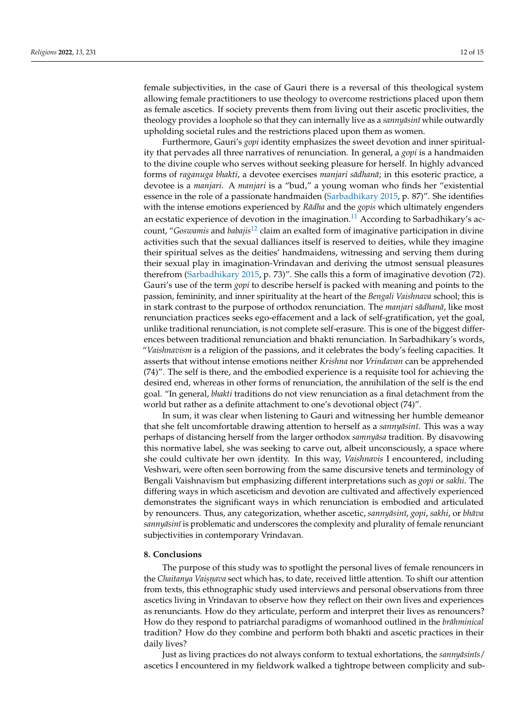female subjectivities, in the case of Gauri there is a reversal of this theological system allowing female practitioners to use theology to overcome restrictions placed upon them as female ascetics. If society prevents them from living out their ascetic proclivities, the theology provides a loophole so that they can internally live as a *sannyasini* while outwardly upholding societal rules and the restrictions placed upon them as women.

<span id="page-12-1"></span><span id="page-12-0"></span>Furthermore, Gauri's *gopi* identity emphasizes the sweet devotion and inner spirituality that pervades all three narratives of renunciation. In general, a *gopi* is a handmaiden to the divine couple who serves without seeking pleasure for herself. In highly advanced forms of *raganuga bhakti*, a devotee exercises *manjari sādhanā*; in this esoteric practice, a devotee is a *manjari*. A *manjari* is a "bud," a young woman who finds her "existential essence in the role of a passionate handmaiden [\(Sarbadhikary](#page-15-5) [2015,](#page-15-5) p. 87)". She identifies with the intense emotions experienced by *Rādha* and the *gopis* which ultimately engenders an ecstatic experience of devotion in the imagination.<sup>[11](#page-14-22)</sup> According to Sarbadhikary's account, "*Goswamis* and *babajis*[12](#page-14-23) claim an exalted form of imaginative participation in divine activities such that the sexual dalliances itself is reserved to deities, while they imagine their spiritual selves as the deities' handmaidens, witnessing and serving them during their sexual play in imagination-Vrindavan and deriving the utmost sensual pleasures therefrom [\(Sarbadhikary](#page-15-5) [2015,](#page-15-5) p. 73)". She calls this a form of imaginative devotion (72). Gauri's use of the term *gopi* to describe herself is packed with meaning and points to the passion, femininity, and inner spirituality at the heart of the *Bengali Vaishnava* school; this is in stark contrast to the purpose of orthodox renunciation. The *manjari sādhanā*, like most renunciation practices seeks ego-effacement and a lack of self-gratification, yet the goal, unlike traditional renunciation, is not complete self-erasure. This is one of the biggest differences between traditional renunciation and bhakti renunciation. In Sarbadhikary's words, "*Vaishnavism* is a religion of the passions, and it celebrates the body's feeling capacities. It asserts that without intense emotions neither *Krishna* nor *Vrindavan* can be apprehended (74)". The self is there, and the embodied experience is a requisite tool for achieving the desired end, whereas in other forms of renunciation, the annihilation of the self is the end goal. "In general, *bhakti* traditions do not view renunciation as a final detachment from the world but rather as a definite attachment to one's devotional object (74)".

In sum, it was clear when listening to Gauri and witnessing her humble demeanor that she felt uncomfortable drawing attention to herself as a *sannyasini*. This was a way perhaps of distancing herself from the larger orthodox *samnyasa* tradition. By disavowing this normative label, she was seeking to carve out, albeit unconsciously, a space where she could cultivate her own identity. In this way, *Vaishnavis* I encountered, including Veshwari, were often seen borrowing from the same discursive tenets and terminology of Bengali Vaishnavism but emphasizing different interpretations such as *gopi* or *sakhi*. The differing ways in which asceticism and devotion are cultivated and affectively experienced demonstrates the significant ways in which renunciation is embodied and articulated by renouncers. Thus, any categorization, whether ascetic,  $sanny\bar{a}s\bar{n}$ ,  $gopi$ ,  $sakhi$ , or  $bh\bar{a}va$ *sannyāsinī* is problematic and underscores the complexity and plurality of female renunciant subjectivities in contemporary Vrindavan.

#### **8. Conclusions**

The purpose of this study was to spotlight the personal lives of female renouncers in the *Chaitanya Vaiṣṇava* sect which has, to date, received little attention. To shift our attention from texts, this ethnographic study used interviews and personal observations from three ascetics living in Vrindavan to observe how they reflect on their own lives and experiences as renunciants. How do they articulate, perform and interpret their lives as renouncers? How do they respond to patriarchal paradigms of womanhood outlined in the *brāhminical* tradition? How do they combine and perform both bhakti and ascetic practices in their daily lives?

Just as living practices do not always conform to textual exhortations, the *sannyasin īs*/ ascetics I encountered in my fieldwork walked a tightrope between complicity and sub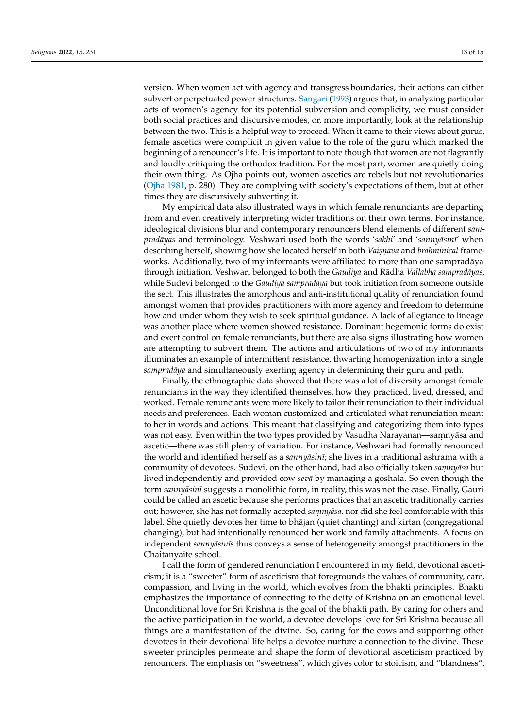version. When women act with agency and transgress boundaries, their actions can either subvert or perpetuated power structures. [Sangari](#page-14-24) [\(1993\)](#page-14-24) argues that, in analyzing particular acts of women's agency for its potential subversion and complicity, we must consider both social practices and discursive modes, or, more importantly, look at the relationship between the two. This is a helpful way to proceed. When it came to their views about gurus, female ascetics were complicit in given value to the role of the guru which marked the beginning of a renouncer's life. It is important to note though that women are not flagrantly and loudly critiquing the orthodox tradition. For the most part, women are quietly doing their own thing. As Ojha points out, women ascetics are rebels but not revolutionaries [\(Ojha](#page-14-25) [1981,](#page-14-25) p. 280). They are complying with society's expectations of them, but at other times they are discursively subverting it.

My empirical data also illustrated ways in which female renunciants are departing from and even creatively interpreting wider traditions on their own terms. For instance, ideological divisions blur and contemporary renouncers blend elements of different *sampradāyas* and terminology. Veshwari used both the words 'sakhi' and 'sannyāsinī' when describing herself, showing how she located herself in both *Vais.n. ava* and *brahminical ¯* frameworks. Additionally, two of my informants were affiliated to more than one sampradaya ¯ through initiation. Veshwari belonged to both the *Gaudiya* and Rādha Vallabha sampradāyas, while Sudevi belonged to the *Gaudiya sampradāya* but took initiation from someone outside the sect. This illustrates the amorphous and anti-institutional quality of renunciation found amongst women that provides practitioners with more agency and freedom to determine how and under whom they wish to seek spiritual guidance. A lack of allegiance to lineage was another place where women showed resistance. Dominant hegemonic forms do exist and exert control on female renunciants, but there are also signs illustrating how women are attempting to subvert them. The actions and articulations of two of my informants illuminates an example of intermittent resistance, thwarting homogenization into a single *sampradāya* and simultaneously exerting agency in determining their guru and path.

Finally, the ethnographic data showed that there was a lot of diversity amongst female renunciants in the way they identified themselves, how they practiced, lived, dressed, and worked. Female renunciants were more likely to tailor their renunciation to their individual needs and preferences. Each woman customized and articulated what renunciation meant to her in words and actions. This meant that classifying and categorizing them into types was not easy. Even within the two types provided by Vasudha Narayanan—samnyāsa and ascetic—there was still plenty of variation. For instance, Veshwari had formally renounced the world and identified herself as a *sannyāsinī*; she lives in a traditional ashrama with a community of devotees. Sudevi, on the other hand, had also officially taken *samnyāsa* but lived independently and provided cow *seva¯* by managing a goshala. So even though the term *sannyāsinī* suggests a monolithic form, in reality, this was not the case. Finally, Gauri could be called an ascetic because she performs practices that an ascetic traditionally carries out; however, she has not formally accepted *samnyāsa*, nor did she feel comfortable with this label. She quietly devotes her time to bhajan (quiet chanting) and kirtan (congregational changing), but had intentionally renounced her work and family attachments. A focus on independent *sannyāsinīs* thus conveys a sense of heterogeneity amongst practitioners in the Chaitanyaite school.

I call the form of gendered renunciation I encountered in my field, devotional asceticism; it is a "sweeter" form of asceticism that foregrounds the values of community, care, compassion, and living in the world, which evolves from the bhakti principles. Bhakti emphasizes the importance of connecting to the deity of Krishna on an emotional level. Unconditional love for Sri Krishna is the goal of the bhakti path. By caring for others and the active participation in the world, a devotee develops love for Sri Krishna because all things are a manifestation of the divine. So, caring for the cows and supporting other devotees in their devotional life helps a devotee nurture a connection to the divine. These sweeter principles permeate and shape the form of devotional asceticism practiced by renouncers. The emphasis on "sweetness", which gives color to stoicism, and "blandness",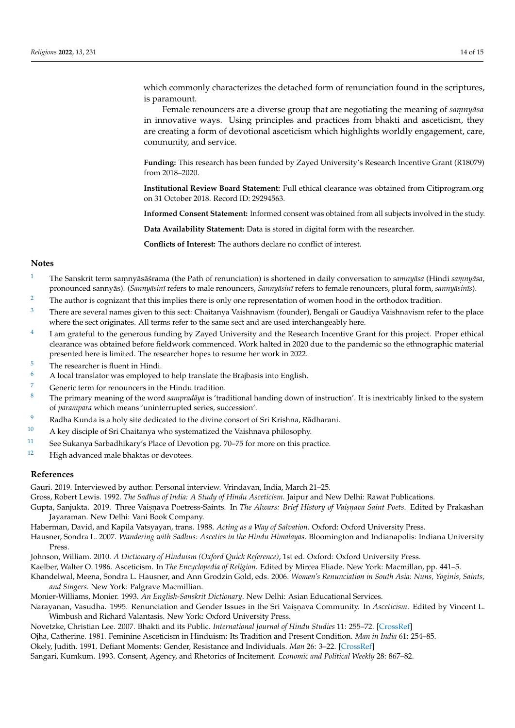which commonly characterizes the detached form of renunciation found in the scriptures, is paramount.

Female renouncers are a diverse group that are negotiating the meaning of *samnyasa* in innovative ways. Using principles and practices from bhakti and asceticism, they are creating a form of devotional asceticism which highlights worldly engagement, care, community, and service.

**Funding:** This research has been funded by Zayed University's Research Incentive Grant (R18079) from 2018–2020.

**Institutional Review Board Statement:** Full ethical clearance was obtained from Citiprogram.org on 31 October 2018. Record ID: 29294563.

**Informed Consent Statement:** Informed consent was obtained from all subjects involved in the study.

**Data Availability Statement:** Data is stored in digital form with the researcher.

**Conflicts of Interest:** The authors declare no conflict of interest.

#### **Notes**

- <span id="page-14-0"></span>The Sanskrit term samnyāsā śrama (the Path of renunciation) is shortened in daily conversation to samnyāsa (Hindi samnyāsa, pronounced sannyās). (Sannyāsinī refers to male renouncers, Sannyāsinī refers to female renouncers, plural form, sannyāsinīs).
- <span id="page-14-3"></span><sup>[2](#page-2-0)</sup> The author is cognizant that this implies there is only one representation of women hood in the orthodox tradition.
- <span id="page-14-5"></span> $3$  There are several names given to this sect: Chaitanya Vaishnavism (founder), Bengali or Gaudiya Vaishnavism refer to the place where the sect originates. All terms refer to the same sect and are used interchangeably here.
- <span id="page-14-7"></span>[4](#page-4-0) I am grateful to the generous funding by Zayed University and the Research Incentive Grant for this project. Proper ethical clearance was obtained before fieldwork commenced. Work halted in 2020 due to the pandemic so the ethnographic material presented here is limited. The researcher hopes to resume her work in 2022.
- <span id="page-14-8"></span> $\frac{5}{6}$  $\frac{5}{6}$  $\frac{5}{6}$  The researcher is fluent in Hindi.
- <span id="page-14-9"></span>[6](#page-4-2) A local translator was employed to help translate the Brajbasis into English.
- <span id="page-14-10"></span><sup>[7](#page-5-0)</sup> Generic term for renouncers in the Hindu tradition.
- <span id="page-14-17"></span>The primary meaning of the word *sampradāya* is 'traditional handing down of instruction'. It is inextricably linked to the system of *parampara* which means 'uninterrupted series, succession'.
- <span id="page-14-19"></span>[9](#page-11-1) Radha Kunda is a holy site dedicated to the divine consort of Sri Krishna, Rādharani.
- <span id="page-14-20"></span> $10$  A key disciple of Sri Chaitanya who systematized the Vaishnava philosophy.
- <span id="page-14-22"></span>[11](#page-12-0) See Sukanya Sarbadhikary's Place of Devotion pg. 70–75 for more on this practice.
- <span id="page-14-23"></span><sup>[12](#page-12-1)</sup> High advanced male bhaktas or devotees.

#### **References**

<span id="page-14-18"></span>Gauri. 2019. Interviewed by author. Personal interview. Vrindavan, India, March 21–25.

<span id="page-14-15"></span><span id="page-14-14"></span>Gross, Robert Lewis. 1992. *The Sadhus of India: A Study of Hindu Asceticism*. Jaipur and New Delhi: Rawat Publications.

Gupta, Sanjukta. 2019. Three Vaiṣṇava Poetress-Saints. In *The Alwars: Brief History of Vaiṣṇava Saint Poets*. Edited by Prakashan Jayaraman. New Delhi: Vani Book Company.

<span id="page-14-21"></span>Haberman, David, and Kapila Vatsyayan, trans. 1988. *Acting as a Way of Salvation*. Oxford: Oxford University Press.

<span id="page-14-13"></span>Hausner, Sondra L. 2007. *Wandering with Sadhus: Ascetics in the Hindu Himalayas*. Bloomington and Indianapolis: Indiana University Press.

<span id="page-14-16"></span>Johnson, William. 2010. *A Dictionary of Hinduism (Oxford Quick Reference)*, 1st ed. Oxford: Oxford University Press.

- <span id="page-14-6"></span><span id="page-14-2"></span>Kaelber, Walter O. 1986. Asceticism. In *The Encyclopedia of Religion*. Edited by Mircea Eliade. New York: Macmillan, pp. 441–5.
- Khandelwal, Meena, Sondra L. Hausner, and Ann Grodzin Gold, eds. 2006. *Women's Renunciation in South Asia: Nuns, Yoginis, Saints, and Singers*. New York: Palgrave Macmillian.

<span id="page-14-11"></span>Monier-Williams, Monier. 1993. *An English-Sanskrit Dictionary*. New Delhi: Asian Educational Services.

<span id="page-14-1"></span>Narayanan, Vasudha. 1995. Renunciation and Gender Issues in the Sri Vaisnava Community. In *Asceticism*. Edited by Vincent L. Wimbush and Richard Valantasis. New York: Oxford University Press.

<span id="page-14-25"></span><span id="page-14-24"></span><span id="page-14-12"></span><span id="page-14-4"></span>Novetzke, Christian Lee. 2007. Bhakti and its Public. *International Journal of Hindu Studies* 11: 255–72. [\[CrossRef\]](http://doi.org/10.1007/s11407-008-9049-9) Ojha, Catherine. 1981. Feminine Asceticism in Hinduism: Its Tradition and Present Condition. *Man in India* 61: 254–85. Okely, Judith. 1991. Defiant Moments: Gender, Resistance and Individuals. *Man* 26: 3–22. [\[CrossRef\]](http://doi.org/10.2307/2803472) Sangari, Kumkum. 1993. Consent, Agency, and Rhetorics of Incitement. *Economic and Political Weekly* 28: 867–82.